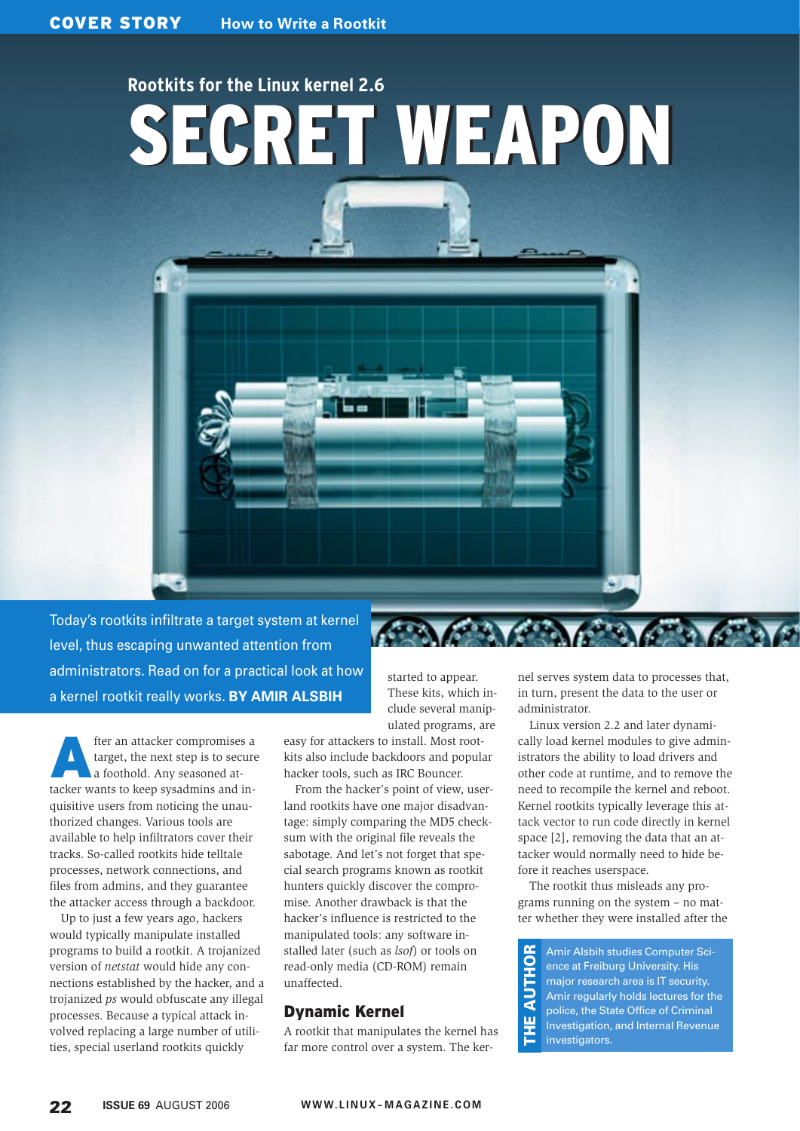# SECRET WEAPON SECRET WEAPON **Rootkits for the Linux kernel 2.6**



Today's rootkits infiltrate a target system at kernel level, thus escaping unwanted attention from administrators. Read on for a practical look at how a kernel rootkit really works. **BY AMIR ALSBIH**

fter an attacker compromises a<br>target, the next step is to secure<br>a foothold. Any seasoned attarget, the next step is to secure a foothold. Any seasoned attacker wants to keep sysadmins and inquisitive users from noticing the unauthorized changes. Various tools are available to help infiltrators cover their tracks. So-called rootkits hide telltale processes, network connections, and files from admins, and they guarantee the attacker access through a backdoor.

Up to just a few years ago, hackers would typically manipulate installed programs to build a rootkit. A trojanized version of *netstat* would hide any connections established by the hacker, and a trojanized *ps* would obfuscate any illegal processes. Because a typical attack involved replacing a large number of utilities, special userland rootkits quickly

started to appear. These kits, which include several manipulated programs, are

easy for attackers to install. Most rootkits also include backdoors and popular hacker tools, such as IRC Bouncer.

From the hacker's point of view, userland rootkits have one major disadvantage: simply comparing the MD5 checksum with the original file reveals the sabotage. And let's not forget that special search programs known as rootkit hunters quickly discover the compromise. Another drawback is that the hacker's influence is restricted to the manipulated tools: any software installed later (such as *lsof*) or tools on read-only media (CD-ROM) remain unaffected.

#### Dynamic Kernel

A rootkit that manipulates the kernel has far more control over a system. The kernel serves system data to processes that, in turn, present the data to the user or administrator.

Linux version 2.2 and later dynamically load kernel modules to give administrators the ability to load drivers and other code at runtime, and to remove the need to recompile the kernel and reboot. Kernel rootkits typically leverage this attack vector to run code directly in kernel space [2], removing the data that an attacker would normally need to hide before it reaches userspace.

The rootkit thus misleads any programs running on the system – no matter whether they were installed after the

Amir Alsbih studies Computer Sci-**AUTHOR** THE AUTHOR ence at Freiburg University. His major research area is IT security. Amir regularly holds lectures for the police, the State Office of Criminal ш Investigation, and Internal Revenue investigators.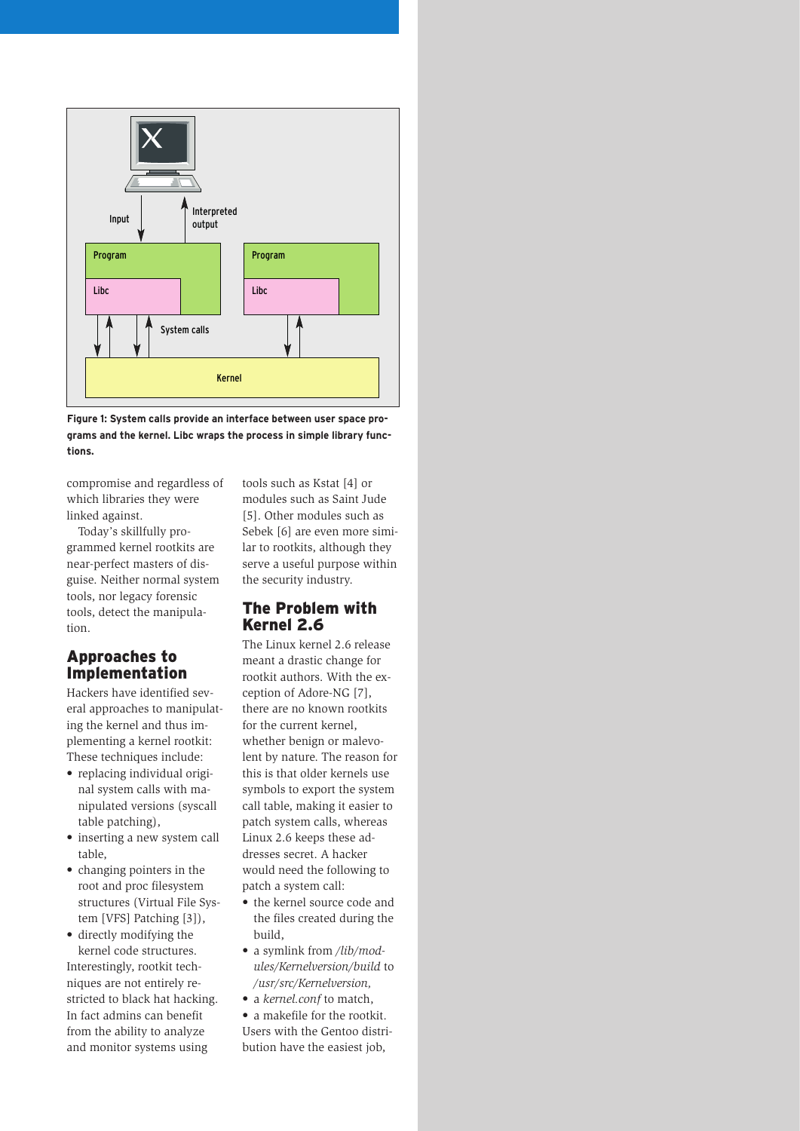



compromise and regardless of which libraries they were linked against.

Today's skillfully programmed kernel rootkits are near-perfect masters of disguise. Neither normal system tools, nor legacy forensic tools, detect the manipulation.

#### Approaches to Implementation

Hackers have identified several approaches to manipulating the kernel and thus implementing a kernel rootkit: These techniques include:

- replacing individual original system calls with manipulated versions (syscall table patching),
- inserting a new system call table,
- changing pointers in the root and proc filesystem structures (Virtual File System [VFS] Patching [3]),

• directly modifying the kernel code structures. Interestingly, rootkit techniques are not entirely restricted to black hat hacking. In fact admins can benefit from the ability to analyze and monitor systems using

tools such as Kstat [4] or modules such as Saint Jude [5]. Other modules such as Sebek [6] are even more similar to rootkits, although they serve a useful purpose within the security industry.

#### The Problem with Kernel 2.6

The Linux kernel 2.6 release meant a drastic change for rootkit authors. With the exception of Adore-NG [7], there are no known rootkits for the current kernel, whether benign or malevolent by nature. The reason for this is that older kernels use symbols to export the system call table, making it easier to patch system calls, whereas Linux 2.6 keeps these addresses secret. A hacker would need the following to patch a system call:

- the kernel source code and the files created during the build,
- a symlink from */lib/modules/Kernelversion/build* to */usr/src/Kernelversion,*
- a *kernel.conf* to match,

• a makefile for the rootkit. Users with the Gentoo distribution have the easiest job,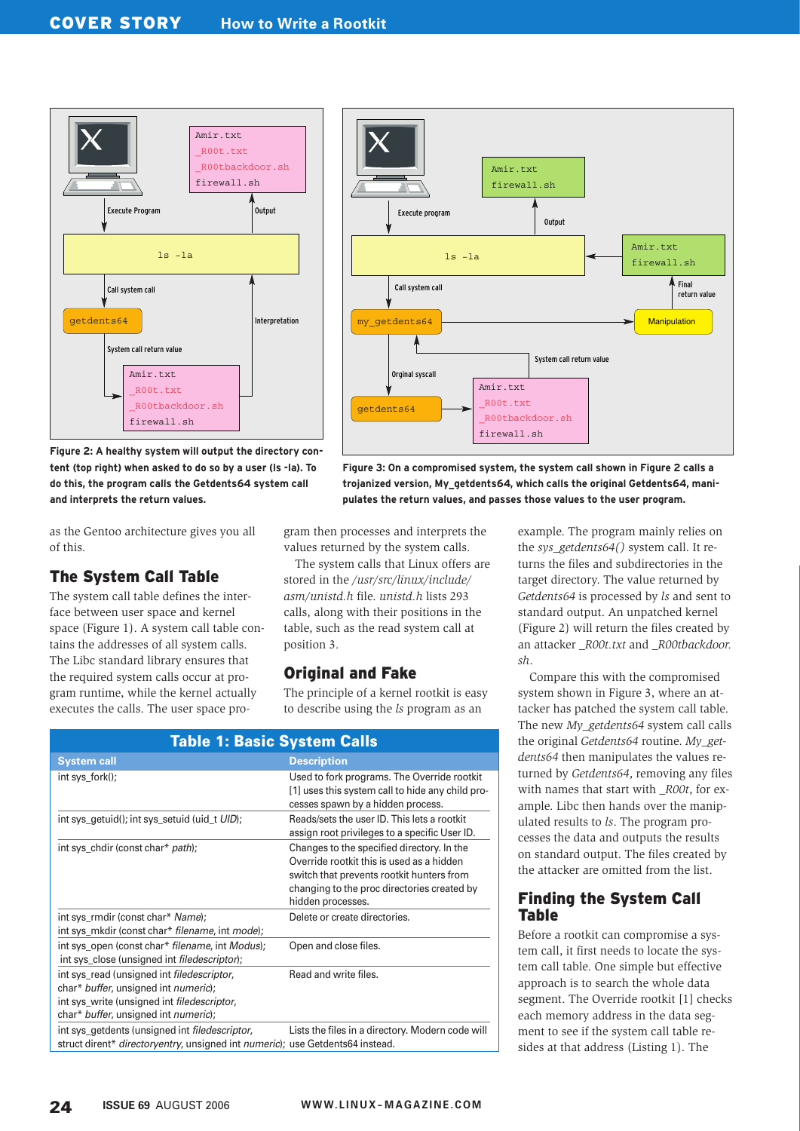



as the Gentoo architecture gives you all of this.

# The System Call Table

The system call table defines the interface between user space and kernel space (Figure 1). A system call table contains the addresses of all system calls. The Libc standard library ensures that the required system calls occur at program runtime, while the kernel actually executes the calls. The user space program then processes and interprets the values returned by the system calls.

The system calls that Linux offers are stored in the */usr/src/linux/include/ asm/unistd.h* file. *unistd.h* lists 293 calls, along with their positions in the table, such as the read system call at position 3.

#### Original and Fake

The principle of a kernel rootkit is easy to describe using the *ls* program as an

| <b>Table 1: Basic System Calls</b>                                                                                                                                                |                                                                                                                                                                                                          |  |  |  |  |  |  |
|-----------------------------------------------------------------------------------------------------------------------------------------------------------------------------------|----------------------------------------------------------------------------------------------------------------------------------------------------------------------------------------------------------|--|--|--|--|--|--|
| <b>System call</b>                                                                                                                                                                | <b>Description</b>                                                                                                                                                                                       |  |  |  |  |  |  |
| int sys_fork();                                                                                                                                                                   | Used to fork programs. The Override rootkit<br>[1] uses this system call to hide any child pro-<br>cesses spawn by a hidden process.                                                                     |  |  |  |  |  |  |
| int sys_getuid(); int sys_setuid (uid_t UID);                                                                                                                                     | Reads/sets the user ID. This lets a rootkit<br>assign root privileges to a specific User ID.                                                                                                             |  |  |  |  |  |  |
| int sys_chdir (const char* path);                                                                                                                                                 | Changes to the specified directory. In the<br>Override rootkit this is used as a hidden<br>switch that prevents rootkit hunters from<br>changing to the proc directories created by<br>hidden processes. |  |  |  |  |  |  |
| int sys_rmdir (const char* Name);<br>int sys_mkdir (const char* filename, int mode);                                                                                              | Delete or create directories.                                                                                                                                                                            |  |  |  |  |  |  |
| int sys_open (const char* filename, int Modus);<br>int sys_close (unsigned int <i>filedescriptor</i> );                                                                           | Open and close files.                                                                                                                                                                                    |  |  |  |  |  |  |
| int sys_read (unsigned int filedescriptor,<br>char* buffer, unsigned int numeric);<br>int sys_write (unsigned int <i>filedescriptor</i> ,<br>char* buffer, unsigned int numeric); | Read and write files.                                                                                                                                                                                    |  |  |  |  |  |  |
| int sys_getdents (unsigned int <i>filedescriptor</i> ,<br>struct dirent* <i>directoryentry</i> , unsigned int <i>numeric</i> ); use Getdents64 instead.                           | Lists the files in a directory. Modern code will                                                                                                                                                         |  |  |  |  |  |  |



**Figure 3: On a compromised system, the system call shown in Figure 2 calls a trojanized version, My\_getdents64, which calls the original Getdents64, manipulates the return values, and passes those values to the user program.**

> example. The program mainly relies on the *sys\_getdents64()* system call. It returns the files and subdirectories in the target directory. The value returned by *Getdents64* is processed by *ls* and sent to standard output. An unpatched kernel (Figure 2) will return the files created by an attacker *\_R00t.txt* and *\_R00tbackdoor. sh*.

> Compare this with the compromised system shown in Figure 3, where an attacker has patched the system call table. The new *My\_getdents64* system call calls the original *Getdents64* routine. *My\_getdents64* then manipulates the values returned by *Getdents64*, removing any files with names that start with *R00t*, for example. Libc then hands over the manipulated results to *ls*. The program processes the data and outputs the results on standard output. The files created by the attacker are omitted from the list.

#### Finding the System Call Table

Before a rootkit can compromise a system call, it first needs to locate the system call table. One simple but effective approach is to search the whole data segment. The Override rootkit [1] checks each memory address in the data segment to see if the system call table resides at that address (Listing 1). The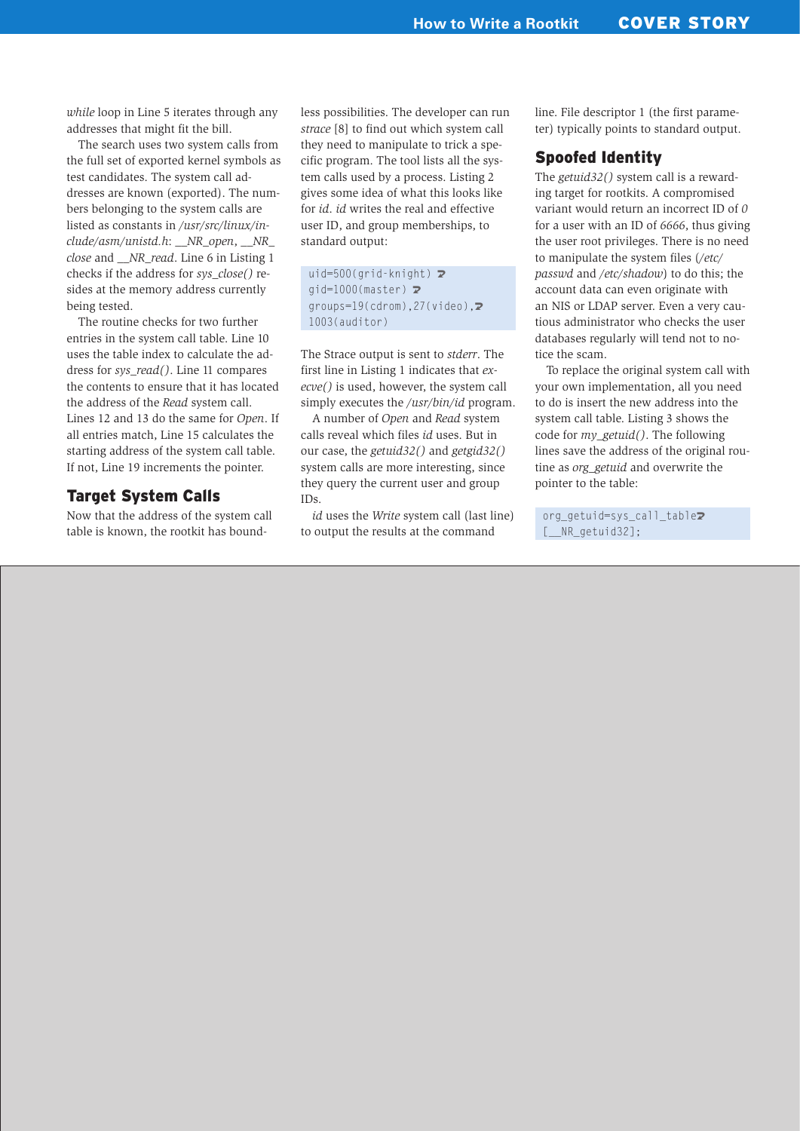*while* loop in Line 5 iterates through any addresses that might fit the bill.

The search uses two system calls from the full set of exported kernel symbols as test candidates. The system call addresses are known (exported). The numbers belonging to the system calls are listed as constants in */usr/src/linux/include/asm/unistd.h*: *\_\_NR\_open*, *\_\_NR\_ close* and *\_\_NR\_read*. Line 6 in Listing 1 checks if the address for *sys\_close()* resides at the memory address currently being tested.

The routine checks for two further entries in the system call table. Line 10 uses the table index to calculate the address for *sys\_read()*. Line 11 compares the contents to ensure that it has located the address of the *Read* system call. Lines 12 and 13 do the same for *Open*. If all entries match, Line 15 calculates the starting address of the system call table. If not, Line 19 increments the pointer.

### Target System Calls

Now that the address of the system call table is known, the rootkit has boundless possibilities. The developer can run *strace* [8] to find out which system call they need to manipulate to trick a specific program. The tool lists all the system calls used by a process. Listing 2 gives some idea of what this looks like for *id*. *id* writes the real and effective user ID, and group memberships, to standard output:

```
uid=500(qrid-knight) \trianglerightqid=1000(master) \trianglerightgroups=19(cdrom), 27(video), \triangleright1003(auditor)
```
The Strace output is sent to *stderr*. The first line in Listing 1 indicates that *execve()* is used, however, the system call simply executes the */usr/bin/id* program.

A number of *Open* and *Read* system calls reveal which files *id* uses. But in our case, the *getuid32()* and *getgid32()* system calls are more interesting, since they query the current user and group IDs.

*id* uses the *Write* system call (last line) to output the results at the command

line. File descriptor 1 (the first parameter) typically points to standard output.

#### Spoofed Identity

The *getuid32()* system call is a rewarding target for rootkits. A compromised variant would return an incorrect ID of *0* for a user with an ID of *6666*, thus giving the user root privileges. There is no need to manipulate the system files (*/etc/ passwd* and */etc/shadow*) to do this; the account data can even originate with an NIS or LDAP server. Even a very cautious administrator who checks the user databases regularly will tend not to notice the scam.

To replace the original system call with your own implementation, all you need to do is insert the new address into the system call table. Listing 3 shows the code for *my\_getuid()*. The following lines save the address of the original routine as *org\_getuid* and overwrite the pointer to the table:

org\_getuid=sys\_call\_tableU [\_\_NR\_getuid32];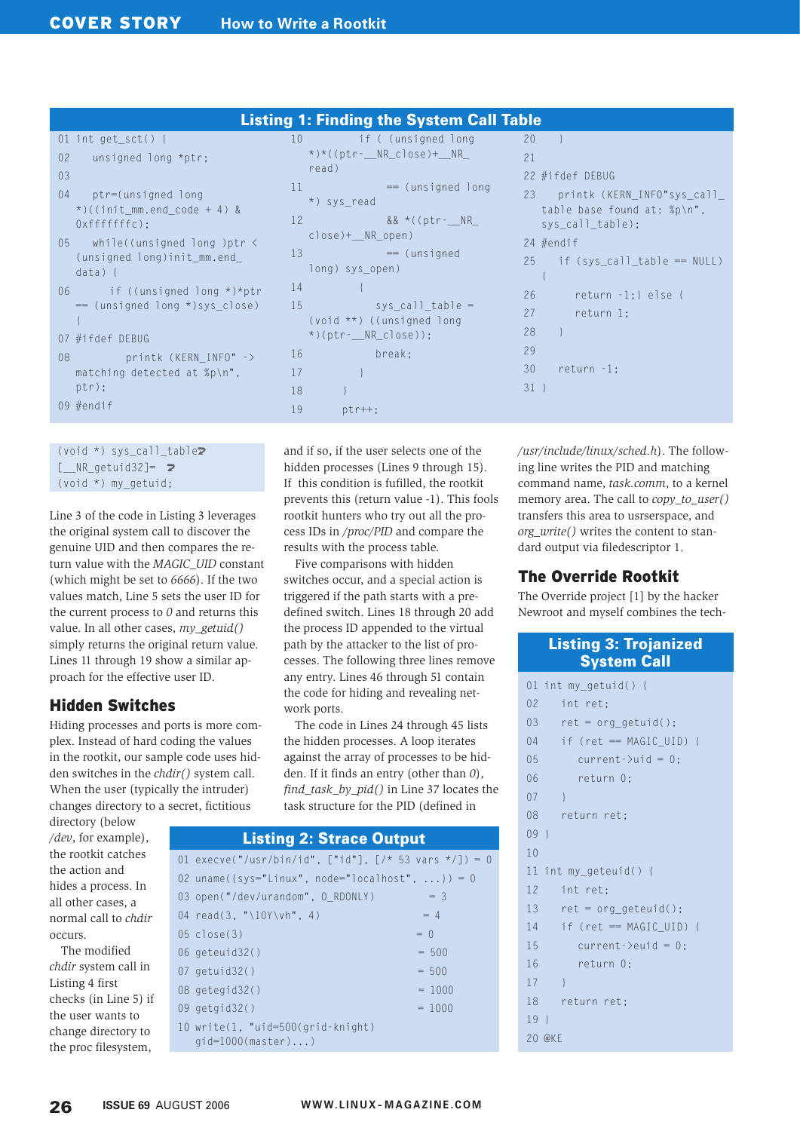|                             | <b>Listing 1: Finding the System Call Table</b>                                                                                                                                             |                       |                                                                                                                                                                                                     |                                                    |                                                                                                                                                             |  |  |  |  |  |
|-----------------------------|---------------------------------------------------------------------------------------------------------------------------------------------------------------------------------------------|-----------------------|-----------------------------------------------------------------------------------------------------------------------------------------------------------------------------------------------------|----------------------------------------------------|-------------------------------------------------------------------------------------------------------------------------------------------------------------|--|--|--|--|--|
| 02 <sub>2</sub><br>03<br>04 | 01 int get_sct() {<br>unsigned long *ptr;<br>ptr=(unsigned long<br>$\star$ )((init_mm.end_code + 4) &<br>$0xfffffffc$ ):<br>05 while((unsigned long )ptr <<br>$(unsigned long)init_mmm.end$ | 10 <sup>°</sup><br>13 | and if ( (unsigned long<br>$\star$ ) $\star$ ((ptr - NR close) + NR<br>read)<br>$11$ = (unsigned long<br>*) sys_read<br>12 && *((ptr-_NR_<br>$close)+_NR_open)$<br>$= (unsigned$<br>long) sys_open) | 20<br>21                                           | 22 #ifdef DEBUG<br>23 printk (KERN_INFO"sys_call_<br>table base found at: %p\n",<br>sys_call_table);<br>24 $#endif$<br>$25$ if $(sys\_call\_table == NULL)$ |  |  |  |  |  |
|                             | $data)$ {<br>06 if ((unsigned long *)*ptr<br>$=$ (unsigned long *)sys_close)<br>07 #ifdef DEBUG<br>08 printk (KERN INFO" -><br>matching detected at $\gamma$ p\n", 17<br>ptr);<br>09 #endif | 14<br>- 16<br>18      | $15$ sys_call_table =<br>$(void **)$ ((unsigned long<br>$\star$ )(ptr- $\rule{1em}{0.15mm}$ NR_close));<br>break:                                                                                   | 26<br>27<br>28<br>29<br>30 <sup>°</sup><br>$31 \}$ | return $-1$ ; } else {<br>return 1;<br>$return -1;$                                                                                                         |  |  |  |  |  |
|                             |                                                                                                                                                                                             | 19                    | $ptr++;$                                                                                                                                                                                            |                                                    |                                                                                                                                                             |  |  |  |  |  |

```
(void *) sys call table\overline{z}\lceil NR getuid32]= \triangleright(void *) my_getuid;
```
{ 07  $#i$ 

 $pti$ 09  $#er$ 

 $03$ 

Line 3 of the code in Listing 3 leverages the original system call to discover the genuine UID and then compares the return value with the *MAGIC\_UID* constant (which might be set to *6666*). If the two values match, Line 5 sets the user ID for the current process to *0* and returns this value. In all other cases, *my\_getuid()* simply returns the original return value. Lines 11 through 19 show a similar approach for the effective user ID.

# Hidden Switches

Hiding processes and ports is more complex. Instead of hard coding the values in the rootkit, our sample code uses hidden switches in the *chdir()* system call. When the user (typically the intruder) changes directory to a secret, fictitious

directory (below */dev*, for example), the rootkit catches the action and hides a process. In all other cases, a normal call to *chdir* occurs.

The modified *chdir* system call in Listing 4 first checks (in Line 5) if the user wants to change directory to the proc filesystem,

and if so, if the user selects one of the hidden processes (Lines 9 through 15). If this condition is fufilled, the rootkit prevents this (return value -1). This fools rootkit hunters who try out all the process IDs in */proc/PID* and compare the results with the process table.

Five comparisons with hidden switches occur, and a special action is triggered if the path starts with a predefined switch. Lines 18 through 20 add the process ID appended to the virtual path by the attacker to the list of processes. The following three lines remove any entry. Lines 46 through 51 contain the code for hiding and revealing network ports.

The code in Lines 24 through 45 lists the hidden processes. A loop iterates against the array of processes to be hidden. If it finds an entry (other than *0*), *find\_task\_by\_pid()* in Line 37 locates the task structure for the PID (defined in

## 01 execve("/usr/bin/id", ["id"],  $[\frac{\times}53 \text{ vars } \frac{\times}{]}] = 0$ 02 uname( $\{sys="Linear", node="localhost", ... \} = 0$ 03 open("/dev/urandom",  $0$  RDONLY) = 3  $04 \text{ read}(3, \text{``10Y\} \text{v} \text{h''}, 4)$  = 4  $05 \text{ close}(3) = 0$  $06 \text{ geteuid}32()$  = 500  $07$  getuid32()  $= 500$ 08 getegid32() = 1000 09  $qetaid32()$  = 1000 10 write(1, "uid=500(grid-knight) gid=1000(master)...) Listing 2: Strace Output

*/usr/include/linux/sched.h*). The following line writes the PID and matching command name, *task.comm*, to a kernel memory area. The call to *copy\_to\_user()* transfers this area to usrserspace, and *org\_write()* writes the content to standard output via filedescriptor 1.

# The Override Rootkit

The Override project [1] by the hacker Newroot and myself combines the tech-

#### Listing 3: Trojanized System Call

```
01 int my getuid() {
02 int ret;
03 ret = org_getuid();
04 if (ret == MAGIC_UID) {
05 current->uid = 0;
06 return 0;
07 \quad \}08 return ret;
09 }
10 
11 int my_geteuid() {
12 int ret;
13 ret = org qeteuid();
14 if (ret == MAGIC UID) {
15 current->euid = 0;
16 return 0;
17 }
18 return ret;
19 }
20 @KE
```